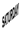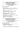## **Baby Puppy Bitch**

### **Judge - Herr C Ludwig**

### **Trophy & Sashes for this class sponsored by Kunama Kennels**

### **GRADING: VERY PROMISING**

**1ST GRANDWEST VITALIA** 25/05/09 6100062511 **Sire :** \*Enzor v Tamaraspitze a ED SchH3 Hneg (Imp Blg) LOSH 0988561 **Dam :** \*Uscha v Bauhofer-Land a Z ET HT (Imp Gmy) SZ 2120738

**Bdr** : **Exh** : **Exh** : Willis D & Mrs C

- **2nd ASTERHUND ILLUSION** 22/07/09 5100055055 **Sire :** \*Ch Uras v Trafalga a Z Hneg (Imp Gmy) SZ 2116134 **Dam :** \*Tonaker Bianca Bell A Z 5100035641 **Bdr** : Fxh **Exh** : van Groen CM & Mrs GP
- **3rd LEPPSDORF GHISLAINE** 15/05/09 5100054824 **Sire :** \*Ch Lashadas Ace of Hearts A Z 6100048546 Dam : \*Treyschutz Trick N Treat A Z 5100027755 **Bdr** : Hume Miss L **Exh** : Metcalfe T & Mrs K/Hume Miss L
- **4th DESTINYGEM BAD GIRL GOT CHEEK** 25/06/09 5100055702 **Sire :** \*Aimsway Bacchus A Z 21000199937 Dam : Darkknight Jemima A Z CD 5100024190 **Bdr** : Exh **Exh** : Lacey Ms CA

## **Minor Puppy Bitch**

**Judge - Herr C Ludwig**

### **Trophy & Sashes for this class sponsored by Arkahla Kennels**

### **GRADING: VERY RPOMISING**

**1st SHEPROSE WHISKY DELIGHT** 08/04/09 5100053763 **Sire :** \*Ch Kuirau Regan A Z 2100246984 Dam : \*Seigen Girl Interuppted A Z 6100052357 **Bdr**: Exh **Exh** : Owen B

Large strong female with an excellent shaped head and remarkable dark eyes. Excellent topline. Croup should be a little bit longer. Correct angulation. Right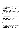chest development for the age. Little bit close front and back. Very good drive and correct reach.

**2nd VONRAUTEN QUENA** 25/04/09 5100054458 **Sire :** \*Vonrauten D Arlo A Z 5100045671 **Dam :** Vonrauted Echo 5100046163 **Bdr** : Exh **Exh** : Vonrauten Kennels

Good topline. Firm back. Good rear angles. The upper arm should be somewhat longer. Correct fore and under chest. The pasterns are upright. Little bit close in the back. Correct in front. Powerful drive with quite correct front reach. Already very good firmness overall.

**3rd SCHAEFERHUND INDIANA** 30/03/09 3100218166 **Sire :** \*As du Domaine du Val d'Aulnoy HD ED Hneg (Imp Fr) LOF 582753/34822

**Dam :** \*Schaeferhund Celina A Z 3100179923 **Bdr** : Bohdal Mrs I **Exh** : Kinsman S

Large strong very expressive. Correct proportion in height to length. Normal withers. Good topline. The croup should be longer. Correct rear angulations. The upper arm should be longer. For the age correct development of the chest. Correct coming and going. Good movement with the right drive and good front reach.

| $4^{\text{th}}$ | <b>DARKKNIGHT YSADORE</b>                         | 07/03/09 | 5100053979                       |
|-----------------|---------------------------------------------------|----------|----------------------------------|
|                 | Sire: *Ch Kardin Kruger A Z 3100179267            |          |                                  |
|                 | <b>Dam</b> : $*$ Takimbre Our Fame A Z 3100112073 |          |                                  |
|                 | <b>Bdr</b> : Darkknight Kennels                   |          | <b>Exh</b> : Mayne B & Phillis J |

Large medium strong. Good feminine expression. High withers firm back .Short but correct position of the croup. Good angulations in the rear. The upper arm is somewhat steep. Correct front. Correct coming and going. Powerful movement. The front reach should be freer.

**5th BRUANGIE TATIANA** 14/05/09 5100055015 Sire : \*Mika v Overledingerland a ED (Imp Gmy) SZ 2189240 Dam : \*Bruangie Golden Dust A Z 5100036710 Bdr : Exh **Exh : Exh : Corlett Mrs V** 

Correct size and strength. Correct proportions. Good expression. Normal withers. Straight back. The croup should be longer. Correct angulations and front. Close going and wide coming. The drive should be more effective. Good front reach.

**6th VONDOUSSA ROGUE TRADERS** 01/04/09 5100053783 **Sire :** \*Vonpeta For The Max A Z 5100045772 **Dam :** \*Ch Vondoussa Faith No More A Z HSAd 5100021878 **Bdr**: Exh **Exh** : Vondoussa Kennels

Large medium strong. Very expressive m Good withers straight back. Short steep croup. Correct angulation over the back hand. The long upper arm should be better angled. Correct front. Little bit loose in the hocks. The good fluid movement with enough drive and front reach.

**7th SIEGERHEIMS NATASHA** 01/04/09 5100054294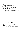**Sire :** \*Mika v Overledingerland a ED (Imp Gmy) SZ 2189240 **Dam :** \*Siegerheims Kayla A Z 5100029642 **Bdr** : Exh **Exh** : Flynn PR & Mrs KY

Medium strong. Very expressive and typefull. Good withers straight back. The croup should be longer and better positioned. Correct rear angulations. Short and steep upper arm. Correct chest development. Little bit narrow in going close coming in front and back. Enough drive from the rear and front reach should be better.

### **GRADING: PROMISING**

**8th DARKKNIGHT YUANITA** 07/03/09 5100053980 **Sire :** \*Ch Kardin Kruger A Z 3100179267 **Dam :** \*Takimbre Our Girl Fame A Z 3100112073 **Bdr** : Exh **Exh** : Darkknight Kennels

Correct size . Medium strong. Good Expression slightly stretched. Croup should be longer. Correct chest development. Good angulation in the rear. The upper arm should be longer. Correct in front correct coming and going. The back hand should be more effective and the front reach more free.

### **GRADING: SUFFICIENT**

**9th BRUANGIE TIA MARIA** 14/05/09 5100055013 **Sire** : \*Mika v Overledingerland a ED (Imp Gmy) SZ 2189240 **Dam :** \*Bruangie Golden Dust A Z 5100036710 **Bdr** : Corlett Mrs V **Exh** : Grigson Mrs J

Medium correct size, medium strong. Very good expression. Due to the development a flat withers. straight back. Quiet correct croup. Good angles in the rear. The position of the upper arm should be longer. Good fore but a short underchest. Correct front . Correct angulations. The front reach should be freer.

## **Puppy Bitch**

**Judge - Herr C Ludwig**

### **Trophy & Sashes for this class sponsored by Taurorn Kennels**

### **GRADING: VERY PROMISING**

**1<sup>st</sup> GRANDWEST ULANA** 01/12/08 6100059069 **Sire :** \*Yke v Haus Charly a ED Hneg (Imp Gmy) SZ 168088 **Dam :** \*Fremont Hot Property A Z 2100135460 **Bdr** : **Exh** : Willis D & Mrs C

11 months 2 weeks, Over medium size, medium strong. Correct proportions, Very good expression. Eye should be darker. Straight dry and firm back, good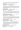lay of croup, Very good hind and good fore angles, correct chest development, correct coming n going, very good movement. Good ground covering gait

**2nd RYZACK ALEXA** 19/12/08 3100212649 **Sire :** \*Ch Kwint v Juerikställ a ED Hneg (Imp Ndl) NHSB 2501936 **Dam :** \*Schaeferhund Yenta A Z 3100163162 **Bdr** : Payne J **Exh** : Bohdal Mrs I

10 months 3 weeks, Double p1 upper left and right. Large medium strong. Very well pigment bitch, correct sex characteristics, well shaped feminine head. High withers. Straight and firm back. Correct lay croup, correct hinds angles, Upper arm and shoulder should be better angled, close going, correct coming, very effective drive, moves with firm back with good fore reach

**3rd RHOSYN FANTASIA** 05/12/08 5100052199 **Sire :** \*Vimo vd Hopfenhalle a ED SchH3 Hneg (Imp Gmy) SZ 2158998 **Dam: \* Rhosyn Totally Hot A Z 5100041144 Bdr** : Exh **Exh** : Collins SJ & Mrs C

11 months 2 weeks, Large medium strong,. Strong very expressive head, high withers. Straight back in stance. Croup slightly steep, Very good angles hind and fore, Correct chest development, pasterns should be firmer. Correct coming and going, pronounced drive, good fore reach, back should remain firmer.

**4th BRUANGIE SOMETHING TO FOLLOW** 13/01/09 5100052776 **Sire :** \*Ch Kardin Kruger A Z 3100179267 **Dam :** \*Bruangie Aztec Princess A Z 5100028574 **Bdr** : Corlett Mrs V **Exh** : Alimanda Kennels

10 months 1 week, Large, medium strong. Good expression, ears are large and should be firmer. Pronounced withers, straight back, short croup Very good hind angles. Upper arm should be better angled. Chest still to develop, stands east west. Loose hocks, wide going and coming with loose hocks. Very effective drive. Front reach should be freer

**5th DAVOR VELGAS SECRET** 20/01/09 6100060659 **Sire :** \*Davor Jackpot A Z (IID) 6100051553 **Dam : \***Davor Kinky Boots A Z 6100045609 **Bdr** : Jauncey C & Mrs T **Exh** : Corlett Mrs V & Alder Miss P

9 months 3 weeks, Large, strong, expressive. Correct proportions, strong head. Normal withers, firm back. Good lay of croup, correct hind angles and fore angles. Upper arm should be longer. Correct front, moves correct coming and going. Fluid movement, drive should be slightly more effective and back slightly peaking during movement.

**6th SCHAEFERHUND HANNA** 13/02/09 3100215966 **Sire :** \*As du Domaine du Val d'Aulnoy HD ED Hneg (Imp Fr) LOF 582753/34822 **Dam :** \*Schaeferhund Topeka A Z 3100111207

**Bdr** · Bohdal Mrs I **Exh** · Kinsman S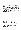9 mths**,** Medium strong, medium size. Slightly stretch proportions, very good expression. Very well shaped head, withers should be held higher. Straight back, correct lay of croup. Very good hind angles, Upper arm should be slightly longer and better angled Stands corect in front, moves narrow coming and correct going, good movement

**7th BABENBERG FOX TROT** 23/11/08 5100051926 **Sire :** \*Vimo vd Hopfenhalle a ED SchH3 Hneg (Imp Gmy) SZ 2158998 **Dam: \*Craisan Zara A Z 5100025654 Bdr** : Fxh **Exh** : DeLucia J & Mrs J

11 mths 3 wks, Large medium strong, very expressive, high withers straight back, croup of enough length slightly steep, very good hind angles, long correct angled upper arm, very good shoulder, very good fore, slightly short underchest, correct in front, correct coming and going, powerful movement good drive enough fore reach

**8th ZANDRAC HOLLYWOOD DREAMING** 09/01/09 3100215416 **Sire :** \*Horand dell'Arco Etrusco a ED Hneg (Imp NDL) NHSB 2653494 **Dam :** Hester vd Zomerdijkslanden (Imp Ndl) **Bdr** : Jones A & Mrs R<br>**Exh** : Alimanda Kennels

10 month 1 week, Over medium size, medium strong. Very strong head, substantial, normal withers. Very good topline, croup should be slightly longer. Good front and very good hind angles. Good fore and slightly short underchest. Going hocks to firm, correct coming. Very powerful drive, good fore reach, falls slightly on forehand

## **Junior Bitch**

### **Judge - Herr C Ludwig**

### **Trophy & Sashes for this class sponsored by Mark & Robyn Parkinson**

### **GRADING: VERY GOOD**

**1ST JAYSHELL RIPLEY A Z** 30/05/08 3100204013 **Sire :** \*Iturna Noble Knight A Z 3100161650 **Dam :** \*Orrinshir Xcel A Z 3100092728 **Bdr** : McDermott P & N **Exh** : Taylor Mrs SJ

60 cm 17½ Months tall medium strong . Correct proportions very good expression. High withers very good topline. Very good underline. Good fore and very good rear angulations. Correct front. Correct coming and going. Very good ground covering gait coming over a firm back

**2nd ICCARA JAVA JOYRIDE** 10/07/09 6100058286 **Sire :** \*Kantenna Hunter A Z 4100130992 **Dam :** \*Iccara Eye Candy A Z 6100027576 **Bdr :** Exh : **Exh :** Woollard LJ & Mrs SL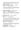16 months. Big medium strong. Very lively expression. Pounounced withers. Straight and firm back the croup should be longer. Very good rear angualtions. Good front angualations. Good forechest correct front. Still loose in the hocks. With correct front. Very good movement with a lot of drive and front reach.

**3rd RHOSYN DENIM N LACE A Z** 14/09/08 5100050866 **Sire :** \*Vimo vd Hopfenhalle a ED SchH3 Hneg (Imp Gmy) SZ 2158998 **Dam :** \*Rhosyn Vital Splash A Z 5100021078 **Bdr** : Exh **Exh** : Collins SJ & Mrs C

58cm 14 months. Over medium size. Strong very substantial typey female. Good topline with a well positioned croup . Very good angles in the front and rear. pronounced chest development. Correct front. Correct coming and going. Far reaching gait with enough firmness over the back.

- **4th VONPETA KOZTIC KOMMENTS** 04/10/08 5100051507 **Sire :** \*Ch Kwint v Juerikställ a ED Hneg (Imp Ndl) NHSB 2501936 **Dam** : \*Gr Ch Vonpeta Taykall by Storm A Z 5100022730 **Bdr** : Exh **Exh** : Damarell PN & Pike J 58cm 13 ½ months. Medium size medium strong. Very good expression. Normal withers. Good topline. Correct anglation correct chest development. Little bit narrow coming and going. Very good movement with overall good firmness.
- **5th SAN RANCHO FIZZ WIZZ** 20/10/08 5100051600 **Sire :** \*As du Domaine du Val d'Aulnoy HD ED Hneg (Imp Fr) LOF 582753/34822 **Dam :** \*San Rancho Aurora A Z 5100032840

**Bdr** : Exh : San Rancho Kennels

61cm 12 months 3 weeks. Tall medium strong. Good expression. High withers. Firm back. Croup should be longer. Very good rear angulations. Upper arm should be somewhat longer. Correct chest development for the age. Tight gaiting in coming and going. Pronounced rear drive. Still good front reach

**6th REGALSHEP CALLME IRRESPONSIBLE** 07/09/08 5100051553 **Sire :** \*Ch Kardin Kruger A Z 3100179267 Dam : \*Regalshep Princess Fiona A Z 5100030934 **Bdr** : Exh **Exh** : Mayne D

58.5 cm 14 months 1 week. Over medium size. Medium strong very strong and expressive head. Very good body proportions. Very good top and bottom line. Correct angulations. Little bit tight in the hocks . Correct in front. Good movement with good ground covering gait.

**7th TONAKER KEEPSAKE** 06/08/08 5100050833 **Sire :** \*Babenberg Croc Dundee A Z 5100035350 Dam : \*Darkknight Indecent Offa A Z 5100021673 **Bdr**: Tonaker Kennels **Exh:** Darkknight Kennels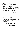57.5cm 15 ½ months Over medium size medium strong. Good type. Normal withers straight back. Quite correct croup. Good angulation in the rear. Upper arm should be somewhat longer and better positioned. Correct gait very good rear drive good front reach. Unfortunaltyl not in the best condition.

### **8th LEPPSDORF ELDORA** 31/10/08 5100052083 **Sire :** \*As du Domaine du Val d'Aulnoy HD ED Hneg (Imp Fr) LOF 582753/34822 **Dam :** \*Leppsdorf Serita A Z 5100028701 **Bdr** : Exh : **Exh** : Hume Miss L

60 cm 12 months 2 weeks. Large. Medium strong. With strong and expressive head. Normal withers. Straight back. Good croup. Very good angleations in both front and rear. Although the upper arm should be somewhat longer. Correct chest development. Correct gaiting. Good rear drive front reach should be better and she is falling a bit on the forehand

**9th VONPETA KARM BFOR THE STORM** 04/10/08 5100051511 **Sire :** \*Ch Kwint v Juerikställ a ED Hneg (Imp Ndl) NHSB 2501936 **Dam** : \*Gr Ch Vonpeta Taykall by Storm A Z 5100022730 **Bdr** : Exh **Exh** : Damarell PN & Pike JE

57 cm 13 ½ months. Medium size medium strong . Very good and feminine expression. Substantial with correct proportions. Straight back. Somewhat short croup. Good rear angulations. Upper arm should be longer and less steep. Correct chest development. Little bit tight coming and going. Powerfull rear drive. Good movement should stay higher in the withers during the movement.

### **WITHDRAWN WITH JUDGES PERMISSION**

**238 SCHAEFERHUND FLUKA** 01/06/08 3100203819 **Sire :** \*Vimo vd Hopfenhalle a ED SchH3 Hneg (Imp Gmy) SZ 2158998 **Dam :** \*Schaeferhund Xina A Z 3100157430 **Bdr** : Exh **Exh** : Bohdal Mrs I

60 cm 17 months. Double P1 upper left. Large strong slightly stretched female. Color should be more intensive. Especially the upper head. Flat withers. With a slight nick behind the wither. Straight back. Correct positioned croup. Correct rear angulations. Upper arm should be longer. Correct front. Correct going coming a little bit tight. Good movement with not enough firmness in the back. Somewhat too heavy.

## **Intermediate Bitch**

**Judge - Herr C Ludwig**

**Trophy & Sashes for this class sponsored by Marlene Standley** 

**Grading; VERY GOOD**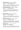**1st VONDOUSSA QUEEN A Z** 13/02/08 5100048412 **Sire :** \*Ch Kwint v Juerikställ a ED Hneg (Imp Ndl) NHSB 2501936 **Dam :** \*Ch Vondoussa Faith No More A Z HSAd 5100021878 **Bdr** : Exh **Exh** : Vondoussa Kennels

20 months. 60 cm Large strong substantial and expressive female. Correct proportion from height to length. Very well shaped head. High withers. Straight back. Short croup. Correct angulations front and back. Correct gaiting at front. Powerful movement transmission over a firm back

**2nd VONPETA GIGSORE PEACE A Z** 03/04/08 5100049231 **Sire :** \*Ch Gigolo v Elzmündungsraum a ED Hneg (Imp Gmy) SZ 2099759 **Dam : \*Vonpeta Champagne A Z 5100036846 Bdr** : Exh **Exh** : Damarell PN & Pike JE

18 months. 60.5 cm Tall medium strong Very expressive female with a lot of substance. Normal withers. Straight back. Croup should be longer. Very good hind anglations upper arm should be longer and better positioned. Correct chest development . Pretty tight coming and going. Very good ground covering gait

**3rd RHOSYN BAM BAM A Z** 23/04/08 5100049376 **Sire :** \*Cayos vd Noriswand a ED SchH1 Hneg (Imp Gmy) SZ 2142376 **Dam** : \*Rhosyn Chocolate Splash A Z 5100030115 **Bdr** : Exh **Exh** : Collins SJ & Mrs C

18 months. 60cm Large strong substantial female with a good type. Correct proportions. Very good type and bottom line. Very good angulations front and rear. Correct front pasterns are a little bit upright. Correct gaiting. Very far reaching gait

**4th DELAFORCE JUMP THE FAR Q A Z** 19/11/07 5100047767 **Sire :** \*Ch Kwint v Juerikställ a ED Hneg (Imp Ndl) NHSB 2501936 **Dam:** \*Ch Sagenhaft Moneypenny A Z 5100029804 **Bdr**: Exh **Exh** : Cooke I & Mrs M

24 months. 59.5 cm Tall medium strong very good expression. Very nice and feminine type. High withers. Straight back. Good positioned croup should be some what longer. Very good rear angulations. Upper arm should be a little bit longer. Correct chest development. Correct front and gaiting. Very good movement powerful gaiting. The tail should be a little more correct.

**5th SPELLBINDA ODETTE** 11/04/08 3100200729 **Sire :** \*Ch Sannjesa Crusty Demon A Z 3100130498 **Dam : \*Lashadas Xquisite A Z 6100044002 Bdr** : Adams A **Exh** : Pilgrim Ms S

Double P1 lower left. 18 months. 58.5cm Medium strong medium size. Good correct proportions. Very good expression and correct head. Straight back. The croup is short but correct positoned. Good front and very good rear angualtions. Correct bottom line. Correct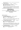gaiting in the rear a little bit narrow in the front. Strong movement with good covering but the back should be firmer

**6th LEBERHINE FRENZI A Z** 13/03/08 5100048778 **Sire :** \*Cayos vd Noriswand a ED SchH1 Hneg (Imp Gmy) SZ 2142376 **Dam :** \*Sagenhaft Dubl O Seven A Z 5100029803 **Bdr :** Garvican H, Evans R & Mrs D **Exh :** Garvican H, Evans R & Mrs D/DeLuca B & Maurer Miss

19 months. 61.5cm Very big. Strong slightly stretched. Good expression and well shaped head. High withers. Straight back. Croup should be longer. Good fore and very good hind angelualtions. Good fore somewhat short underchest. Correct going. Good rear drive with enough front reach. Lays a little bit on the front.

## **Open Bitch**

### **Judge - Herr C Ludwig**

### **Trophy & Sashes for this class sponsored by Myra Smith**

### **GRADING: EXCELLENT**

**1st \*ASTERHUND EVANGELINA A Z** 06/05/07 5100044976 **Sire :** \*Ch Uras v Trafalga a Z Hneg (Imp Gmy) SZ 2116134 **Dam :** \*Tonaker Bianca Bell A Z 5100035641 **Bdr** : Exh **Exh** : van Groen CM & Mrs GP

2years 5mths. Large strong. Substantial. Excellent typey female. Correct proportions angulations and lines overall. Correct gaiting. Strong rear drive very good front reach very good transmission over the back.

**2nd \*CH VONPETA AVENUE TOLDER A Z** 18/09/04 5100033945 **Sire :** \*Uno vd Urbecke a Z Hneg (Imp Gmy) SZ 1948206 Dam : \* Ch Vonpeta Sheeza Mona A Z 5100017939 **Bdr** : Exh **Exh** : Damarell PN & Pike JE

5 years over Medium size. Medium strong a lot of substance. A strong expressive head. Normal withers straight back good croup. Good fore very good rear angulations. Correct chest development. Correct gaiting but the elbows could be a little bit closer. Very good movement with far reaching gait

**3rd \*SCHAEFERHUND EDANA A Z** 26/10/07 3100194546 **Sire :** \*Cayos vd Noriswand a ED SchH1 Hneg (Imp Gmy) SZ 2142376 **Dam :** \*Ch Schaeferhund Quintina A Z 3100084817 **Bdr**: Exh **Exh** : Bohdal Mrs I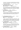2 years 1 month. Very large strong. Substantial female with very good head and expression. Slightly stretched. Very good top and bottom line. Good fore and very good rear angulations. Correct in coming and going. Very good movement. And spacious gaiting

**4th \*GRUNDELHARDT KAPRICE A Z** 04/04/06 5100040309 **Sire :** \*Leberhine Ijaz A Z Hneg 5100014919 **Dam :** \*Grundelhardt Chakira A Z 5100025626 **Bdr**: Cocks PJ & Mrs JM **Exh:** Aachenheim Kennels

3½ yrs. Over medium size. Medium strong. Substantial very good expression. With a very correct shaped head. Very harmonious structure. Very good top and bottom line. The croup should be longer. Good fore and very good hind angualtions. Correct front. Little bit narrow in coming and going. Good ground covering gait.

**5th \*LAGO BIANCA A Z** 27/10/06 5100042834 **Sire :** \*Ch Kwint v Juerikställ a ED Hneg (Imp Ndl) NHSB 2501936 **Dam :** \*Ch Adelora Zena A Z 2100147556 **Bdr**: Exh **Exh** : Pittelli SS & F

3 years. Over medium size. Strong substantial. Good expression. Very well shaped head. Very good top and bottom line. Correct position of the croup. Very good rear angulations. Upper arm should be longer. Correct going in the rear and front. Pronounced rear drive. Front reach should be more free

**6th \*DESTINYGEM MISS ATTITUDE A Z** 29/04/07 5100046167 **Sire :** \*Ch Aimsway Abacus A Z Hneg 2100096239 **Dam : Darkknight Jemima A Z CD 5100024190 Bdr** : Exh **Exh** : Lacey Ms CA

2 ½ years. Over medium size medium strong. Good expression. Correct proportions. High withers. Straight back. Good position of the croup which should be somewhat longer. Correct rear angulations. Upper arm should be better angled. Correct chest proportions. Somewhat wide coming and going. Elbows are not completely firmed. Good movement with ground covering gait

**7<sup>th</sup> \*CH DARKANA DEMI A Z** 28/05/07 5100045589 **Sire :** \*Nilson v Wildsteiger Land a Z Hneg (Imp Gmy) SZ 2062603 **Dam :** Darkana Keanu A Z 5100030082 **Bdr :** Barlow Mrs JK **Exh :** Garvican H, Evans R & Mrs D

2 years 5 months. Big strong very expressive female with a strong head. Normal withers. Straight and firm back. Pretty short and steep croup. Good fore and very good rear angualtions. Correct in the front. Little bit narrow in the rear. Very storng rear drive good front reach. Enough firmness

**8th \*SAN RANCHO DANTE A Z** 12/08/07 5100046258 **Sire :** \*Ch Kwint v Juerikställ a ED Hneg (Imp Ndl) NHSB 2501936 **Dam: \*San Rancho Aurora A Z 5100032840**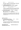**Bdr** : Exh **Exh** : San Rancho Kennels

2 years 3 months. Typey female of correct size and strength. Slightly stretched. Normal withers. Straight back. Croup should be longer. chest proportions. Correct gaiting. Very good movement and firmness overall.

**9th \*VONDOUSSA PRINCESS NIC A Z** 01/10/07 5100046598 **Sire :** \*Ray v Fichtenschlag a ED SchH3 Hneg (Imp Gmy) SZ 2154538 **Dam :** \*Vondoussa Georgie Girl A Z ET HSAs HSAd 5100029709

**Bdr** : Exh **Exh** : Vondoussa Kennels

2 yrs 1 mth. Over medium size medium strong. Good type. Normal withers. Straight back. Good position of the croup. Corect hind anglations. Upper arm is short and steep. Chest needs to developed over all. Correct front. Corect going at the front tight in the hocks. Good movement and good coverage

**10th \*RHOSYN WOOD NYMPH A Z** 23/02/07 5100044023 **Sire :** \*Ch Gigolo v Elzmündungsraum a ED Hneg (Imp Gmy) SZ 2099759 Dam : \*Brooksvale Black Russian A Z 5100018805 **Bdr** : Collins SJ & Mrs C **Exh** : Hansen Mrs T

2 year 8 month. Over medium size medium strong very good expression. High withers straight back. Short somewhat steep croup. Very good rear angulations the long upper arm should be a little bit better angled. Normal chest development. Correct gaiting. Pronounced rear drive. Front reach should be somewhat more free

### **GRADING: VERY GOOD**

**11th \*VONRAUTEN XIAM GRACIOUS A Z** 24/04/07 5100044825 **Sire :** \*Aimsway Bacchus A Z 21000199937 **Dam : \*Ch Vonrauten Yor Torie A Z 5100032805 Rdr** : **Exh** : Vonrauten Kennels

2 years 6 months. Medium size strong not the right proportions from chest to foreleg. Withers should be higher. Straight back. Good position of the croup. Good angelations over pronounced forechest. Under chest should be longer. Correct gaiting. Good movement

**CHALLENGE BITCH \*ASTERHUND EVANGELINA A Z (Roy Brabham Memorial Trophy)**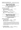**RESERVE CHALLENGE BITCH…… SHEPROSE WHISKY DELIGHT**

## **Baby Puppy Dog**

**Judge - Mrs J Neddermeyer**

### **Trophy & Sashes for this class sponsored by Vonpeta Kennels**

### **GRADING; VERY PROMISING**

- **1st KEEDARA LOVESEXMAGIC** 05/06/09 5100054921 **Sire :** \*Ch Kardin Kruger A Z 3100179267 **Dam :** \*Ch Keedara Deby Duz A Z 5100029825 **Bdr** : Exh **Exh** : Mayne B & Phillis J
- **2nd VONRAUTEN SWIFT** 28/05/09 5100054755 **Sire :** \*Toutonic Enzo Bad Boll A Z 5100039180 Dam : \*Shepherdhill Dirtydancer A Z 5100041519 **Bdr** : Exh : Vonrauten & Aachenheim Kennels

## **Minor Puppy Dog**

### **Judge - Mrs J Neddermeyer**

### **Trophy & Sashes for this class sponsored by Azurebright Kennels**

### **GRADING: VERY PROMISING**

**1st SIEGERHEIMS NANDO** 01/04/09 5100054296 **Sire :** \*Mika v Overledingerland a ED (Imp Gmy) SZ 2189240 **Dam :** \*Siegerheims Kayla A Z 5100029642 **Bdr** : Flynn PR & Mrs KY **Exh** : Hume Miss L

7 ½ months -A large strong expressive dog with high withers, firm back and well molded croup, which ideally could be a little less steep. The upper arm is of good length but should be better angled, very good hindquarter angulation. Very good chest proportions for his age. Stands correct in front with a good masculine head and medium eye colour. Steps slightly narrow at rear correct in front where the elbows should be closer laying. In movement shows very good ground covering gait.

**2nd BABENBERG GERONIMO** 06/03/09 5100053326 **Sire :** \*Vimo vd Hopfenhalle a ED SchH3 Hneg (Imp Gmy) SZ 2158998 **Dam :** \*Babenberg El Estralita A Z 5100042296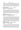8 ½ months - A large, medium strong slightly elongated dog of very good typ. High withers, firm back, slightly short and slightly steep croup. The upper arm should be longer and better angled, very good hindquarter angulation. The view from front is still not quite correct. Good head good expression with medium eye color, good ear carriage. Normal chest development for his age. Steps narrow at rear wide in front where the elbows should be closer laying. Shows good ground covering gait. The under chest should ideally be a little longer.

**3rd SIEGERHEIMS NORSCA** 01/04/09 5100054299 **Sire :** \*Mika v Overledingerland a ED (Imp Gmy) SZ 2189240 **Dam :** \*Siegerheims Kayla A Z 5100029642 **Bdr** : Exh **Exh** : Flynn PR & Mrs KY

7 ½ months – Above medium size medium strong well coloured expressive young dog with good withers firm back short and steep croup. The upper arm should be longer and better angled very good hind angulation. Stands correct in front with elbows slightly close Good head and eye colour. Steps straight at rear and in front with good firmness of hock joints, the elbows should be closer laying. During movement shows good ground covering gait, where both the hindquarter drive and the forehand reach should be overall a little more expansive.

**4th VONDOUSSA ROBBIE WILLIAMS** 01/04/09 5100053779 **Sire :** \*Vonpeta For The Max A Z 5100045772 **Dam :** \*Ch Vondoussa Faith No More A Z HSAd 5100021878 **Bdr**: Exh **Exh** : Vondoussa Kennels

7 ½ months – Not quite correct scissor bite. Above medium size medium strong well proportioned grey dog of still good type. Normal withers, firm back slight dip behind, the croup while of good length should be slightly less steep. The upper arm should be longer and better angled. Very good hindquarter angulation. Stands correct in front with normal chest proportions. The planes of the head are not absolutely ideal and the lower jaw should be slightly more developed. Good eye colour. Steps cow hocked at rear correct in front where the elbows should be closer laying. In movement shows good ground covering gait where both the hindquarter drive and forehand reach should be more expansive. The lower chest should still be longer and at times the wither carried higher.

**5th BRUANGIE TARJ MAHAL** 14/05/09 5100055011 **Sire :** \*Mika v Overledingerland a ED (Imp Gmy) SZ 2189240 **Dam :** \*Bruangie Golden Dust A Z 5100036710 **Bdr** : Exh **Exh** : Corlett Mrs V

6 months – Above medium size, strong substantial well pigmented very well constructed dog of very good type. Normal withers, firm back well molded croup which still could be a fraction longer. Very good fore and slightly deep hind quarter angulation. Stands correct in front with very good chest proportions for age. Strong masculine expressive head with good eye colour. While still quite young he impresses with his overall masculinity. For his age he should not become any deeper Shows good ground covering gait where even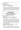for his age his wither should be carried higher. Does not show in movement what he promises in stance.

### **GRADING; PROMISING**

**6th DARKKNIGHT YOTHU YINDI** 07/03/09 5100053974 **Sire :** \*Ch Kardin Kruger A Z 3100179267 **Dam :** \*Takimbre Our Fame A Z 3100112073 **Bdr** : Exh **Exh** : Darkknight Kennels

 $8\frac{1}{2}$  months – A medium size just medium strong well proportioned dog with still good head, good expression and good eye colour. Ideally the neck should be a little longer. High wither, firm back, short and steep croup. The upper arm should be longer and better angled. Good hindquarter angulation. Steps slightly narrow at rear correct in front with correct firmness of elbows. During movement shows good ground covering gait where the forehand reach and drive should be more expansive. Slight brown shadings on the black saddle markings.

## **Junior Dog Judge - Mrs J Neddermeyer**

### **Trophy & Sashes for this class sponsored by Siegerheims Kennels**

### **GRADING: VERY GOOD**

**1st VOLSCAIN UDO** 12/08/08 3100208804 **Sire :** \*Karlos vd Werther-Mühle a ED Hneg (Imp Gmy) SZ 2129480 **Dam :** \*Molle vd Werther-Mühle a ED (Imp Gmy) SZ 2142864  **Bdr :** Volscain Kennels **Exh :** Levron A & J/Kail N & M

15 months 64cms Above medium size, strong, substantial well coloured and well pigmented dog of very good type. High withers, firm back, and slightly short croup. The upper arm is of good length but should be slightly better angled, very good hindquarter angulation. Stands not quite correct in front, with very good fore and lower chest development. Masculine head, very good eye colour and ear carriage, very good and skull and fore face formation. Stands with hock joints close, slightly narrow in front. During movement shows very good ground covering gait with strong hindquarter drive and free forehand reach, Very good back transmission

**2nd RHOSYN DOUBLE KROSS A Z** 14/09/08 5100050864 **Sire :** \*Vimo vd Hopfenhalle a ED SchH3 Hneg (Imp Gmy) SZ 2158998 **Dam : \*Rhosyn Vital Splash A Z 5100021078 Bdr** : Fxh **Exh** : Collins SJ & Mrs C

14 months 62.5cm Just above medium size, strong, well proportioned, well coloured dog of very good type. Good length of neck. Good withers, slight dip behind, firm back and slightly steep croup. The upper arm is of very good length but could be slightly better angled, very good hindquarter angulation.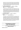Stands correct in front, with very good fore and lower chest development, ideally for his age should not become any deeper. Good masculine head with good eye colour, very good ear carriage, ideally the masking could be slightly more pronounced. Steps correct at rear with good firmness of hock joints, correct in front, where both the elbows and pasterns should be slightly firmer. During movement shows very good ground covering gait, with very good length of stride and very good back transmission

**3rd ARKAHLA SH HITFORB RAINS** 26/09/08 5100051320 **Sire :** \*Vimo vd Hopfenhalle a ED SchH3 Hneg (Imp Gmy) SZ 2158998 **Dam :** \*Arkahla Oil Beef Hooked A Z 5100042927 **Bdr** : Exh **Exh** : O'Loughlin W & Mrs J

14 months 66cms Very large, medium strong well proportioned dog of very good color and pigment. High withers, firm back, slightly short and slightly steep croup. The upper arm should be longer and better angled, very good hindquarter angulation. Stands not quite correct in front where pasterns should be firmer, good fore and very good lower chest development. Good head with good expression good eye colour and good ear carriage. Steps close at rear, narrow in front with the elbows slightly turned in. During movement shows very good ground covering gait, where both hindquarter drive and forehand reach could be slightly more expansive

**4th SAN RANCHO FERRERO** 20/10/08 5100051602 **Sire :** \*As du Domaine du Val d'Aulnoy HD ED Hneg (Imp Fr) LOF 582753/34822

**Dam :** \*San Rancho Aurora A Z 5100032840 **Bdr** : Exh **Exh** : San Rancho Kennels

12 ½ months 64.5cms A large, medium strong, well proportioned still well coloured dog of very good type. Normal withers, firm back, slightly short and slightly steep croup. The upper arm should be longer and better angled, very good hindquarter angulation. Stands correct in front, pasterns should be firmer, good fore and very good lower chest development. Good head and good eye colour, good ear carriage. Steps very narrow both front and rear, where both hocks and elbows should be firmer. During movement shows good ground covering gait where both hindquarter drive and forehand reach should be slightly more expansive. Due to slightly short lower chest at times should carry wither higher. Tail should be carried in a more natural manner.

## **Intermediate Dog**

**Judge - Mrs J Neddermeyer**

**Trophy & Sashes for this class sponsored by Leberhine Kennels**

**GRADING: VERY GOOD**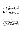**1st SEIGEN JACK SPARROW A Z** 08/10/07 6100053798 **Sire :** \*Ch Eisenland Fernando A Z Hneg 6100023389 **Dam: \*Astasia Nara A Z 4100106224 Bdr**: Gallacher D & Mrs CA **Exh**: Woollard LJ & Mrs SL

2 years 1 month 65.cms. Chipped lower incisor. Large strong substantial beautifully coloured grey dog of very good type and overall very harmonious construction. High withers, firm back, slightly short slightly steep croup. The upper arm should be longer and better angled very good hindquarter angulation with very well developed thighs. Stands correct in front with good fore and very good lower chest development, the pasterns ideally could be a little firmer. The front feet are slightly long and open. Steps correct at rear where the hock joints should remain firmer. Steps correct in front elbows should be closer laying. In movement shows a very good ground covering gait with strong hindquarter drive, free forehand reach and very good back transmission. Impresses with his overall very good construction dryness and firmness.

**2nd \*CH LEBERHINE FLY A Z** 13/03/08 5100048773 **Sire :** \*Cayos vd Noriswand a ED SchH1 Hneg (Imp Gmy) SZ 2142376 **Dam :** \*Sagenhaft Dubl O Seven A Z 5100029803 **Bdr** : Exh **Exh** : Garvican H, Evans R & Mrs D

20 months 65cm Large strong substantial well coloured dog of very good type. Still good length of neck, high wither, firm back and slightly short croup. The upper arm is good length could be still better angled. Very good hindquarter angulation. Stands correct in front with good fore and lower chest development, strong masculine head with very good eye color, very good breadth of skull and very good ear carriage. Steps slightly wide at rear with very good firmness in hock joints, slightly narrow in front. In movement shows very good ground covering gait with strong hindquarter drive and free forehand reach and very good back transmission.

**3rd VONRAUTEN FRENCH FIRE** 18/10/07 5100047144 **Sire :** \*As du Domaine du Val d'Aulnoy HD ED Hneg (Imp Fr) LOF 582753/34822

**Dam : \*Vonrauten Ginjer A Z 5100034654 Bdr** : Vonrauten Kennels<br> **Exh** : Shepherd Hill Kennels

2 years 1 month 63cms Well above medium size strong substantial well proportioned dog of very good type. High wither, firm back, well moulded croup which could be a little longer. The upper arm could be still better angled slightly deep hind angulation. Stands correct in front, the pasterns could be firmer the feet are open, very good head and expression with medium eye colour, the ears could be set a little higher on the skull. Steps narrow in rear where the hock joints are a little close, wide in front where the elbows to be closer laying. In movement shows good ground covering gait with strong hindquarter drive, the forehand reach should be a little freer and the ligamentation over the back should remain firmer.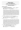## **Open Dog Judge - Mrs J Neddermeyer**

### **Trophy & Sashes for this class sponsored by Regalshep Kennels**

### **GRADING: EXCELLENT**

**1st \*LEPPSDORF LOUI ARMSTRONG A Z** 10/03/07 5100044409 **Sire :** \*Cayos vd Noriswand a ED SchH1 Hneg (Imp Gmy) SZ 2142376 Dam : \*Treyschutz Trick N Treat A Z 5100027755 **Bdr** : Hume Miss L **Exh** : Armstrong B

2 years 8 months 65.5cms Very large strong substantial expressive dog of particularly lovely type. Good length of neck which ideally could still be a fraction longer, high withers, firm back, slightly short croup. The upper arm is very good length should be slightly better angled very good hindquarter angulation with very strong well developed thighs. Stands correct in front very good fore and lower chest development, very expressive true German Shepherd head with very good formation of both skull and foreface, medium eye colour and very good ear carriage. Overall impresses with his anatomical construction and displays much harmony. Steps slightly narrow at rear with firm hock joints, correct in front with good firmness of elbows. During movement shows strong powerful expansive gait transmitted through firm back with very good length of stride

### **2nd \*VIMO vd HOPFENHALLE a ED SchH3 Hneg (Imp Gmy)**

01/01/05 SZ 2158998 **Sire :** \*Zeppo v Klebinger Schloss a ED SchH2 SZ 2020853 **Dam : \***Chandra v Arline a ED SchH3 SZ 2086532 **Bdr** : Zimmermann M **Exh** : DeLucia J & Mrs J, Collins SJ &

Mrs C

4 years 10 months 66cms Very large, strong, substantial, expressive well proportioned male of overall very good harmonious construction. Good length of neck, good withers, firm back and slightly steep croup. Very good fore and hindquarter angulation. Stands correct in front with very good fore and lower chest development. Strong expressive head with very good eye colour, very good ear carriage, ideally the pasterns should be little firmer. Particularly noteworthy of this dog is the very good underline. Steps correct at rear, slightly narrow in front, with good firmness of hocks joints, the elbows could slightly closer laying. Displays very good ground covering gait with strong hindquarter drive and free forehand reach with very good back transmission

### **3rd \*ENZOR V TAMARASPITZE a ED SchH3 Hneg (Imp Blg)**

 19/11/05 LOSH 0988561 **Sire :** \*Nando v Gollerweiher a ED SchH3 SZ 2123269 **Dam :** \*Caty v Tamaraspitze a ED SchH3 LOSH 0923002 **Bdr** : van Sweevelt A **Exh** : Willis D & Mrs C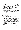4 years Slightly out of alignment P3 lower left. 66cms– Very large strong substantial very well constructed dog of very good type. High withers firm back slightly short croup. Very good fore and hindquarter angulation. Stands correct in front, with very good fore and under chest development, particularly noteworthy and pleasing is the very good formation of both the skull and the foreface, ideally the ears could be carried slightly higher on the skull. Steps correct at rear with firm hock joints correct in front, the elbows should be a little firmer. Shows very good ground covering gait with strong hindquarter drive and free forehand reach, very good back transmission, at times the tail could be carried in a slightly more natural manner

**4th \*CH TAURORN NAVARRE A Z** 17/05/07 5100045062 **Sire :** \*Ch Gigolo v Elzmündungsraum a ED Hneg (Imp Gmy) SZ 2099759 **Dam :** \*Taurorn Krystal Shimmer A Z 5100021849 **Bdr** : Wellman Ms G **Exh** : Pilgrim Ms S

2 years 6 months 66cms Very large, medium strong well proportioned, well coloured and well pigmented dog of very good type, Very good length of neck, with high withers, slight dip behind, firm back, and very good croup. The upper arm is of good length but should be slightly better angled, very good hindquarter angulation, with powerful well developed thighs. Stands correct in front with very good fore and lower chest develop for his age. Very good head and expression with dark eyes, correct ear carriage, particularly noteworthy is the very good masking. Steps correct at rear with firm hock joint, correct in front where the elbows could be firmer. Shows very good ground covering gait with free forehand reach ideally the hindquarter drive could be slightly more powerful. Overall displays very good firmness.

**5th \*VOLSCAIN QANTO A Z** 15/02/07 3100181519 **Sire :** \*Karlos vd Werther-Mühle a ED Hneg (Imp Gmy) SZ 2129480 **Dam :** \*Molle vd Werther-Mühle a ED (Imp Gmy) SZ 2142864  **Bdr :** Volscain Kennels **Exh :** Rice J & Mrs M/Cooke I & Mrs M

2 years 9 months 66cms Very large medium strong, well coloured dog of very good type. Very good length of neck. High withers, firm back, slightly steep croup. The upper arm is of good length should be slightly better angled, very good hindquarter angulation, the shoulder blade should is slightly placed forward. Stands correct in front with good fore and very good lower chest development. Slightly underdeveloped thighs. Good head, medium eye colour and good ear carriage throws out left hock, correct in front with good firmness of elbows. Shows good ground covering gait with good forehand reach, at times would like to see the thrust of the hindquarter a little more powerful, very good back transmission\

**6th \*BABANGA DEJAVUE A Z** 12/09/07 2100258697 **Sire :** \*As du Domaine du Val d'Aulnoy HD ED Hneg (Imp Fr) LOF 582753/34822

**Dam : \* Rufstone Cher A Z 2100214364 Bdr :** York PR & Mrs KP **Exh :** Parkinson MA & Mrs RJ

2 years 2 months 66cms Very large, strong substantial dog of very good type. Still good length of neck, normal withers, firm back. slightly short and slightly steep croup, The upper arm should be longer and better angled, very good hindquarter angulation Stands correct in front, with good fore and very good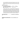lower chest development, strong expressive head, good eye colour and good ear carriage. Steps with hock joints close and slightly loose, correct in front, with good firmness of elbows. Shows good ground covering gait, with somewhat hasty movement and ideally the wither should be carried slightly higher

### **GRADING: VERY GOOD**

**7<sup>th</sup> \*SAN RANCHO CENTURIAN A Z** 22/08/06 5100041822 **Sire :** \*Ch Gigolo v Elzmündungsraum a ED Hneg (Imp Gmy) SZ 2099759 **Dam :** \*Winbirra Ritzy A Z 3100083473 **Bdr:** San Rancho Kennels<br> **Exh:** Cabot Ms EL

3 years 3 months 65cms Large medium strong, well proportioned well coloured dog of still good type. Very good length of neck, high withers firm back, slightly steep croup. The upper arm should be longer and better angled, still good angulation of the hindquarter, ideally the lower thigh should be slightly longer. Stands slightly wide in front with elbows tucked in, still good fore and very good lower chest development, Good head medium eye colour, good ear carriage very good masking. Steps correct at rear with good firmness of hock joints, correct in front, the elbows should be closer laying. During movement shows good ground covering gait where both the hindquarter drive and the forehand reach should be a little freer, very good back transmission

### **CHALLENGE DOG ……………………\*LEPPSDORF LOUI ARMSTRONG A Z**

### **RESERVE CHALLENGE DOG…\*VIMO vd HOPFENHALLE a ED SchH3**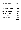# **General Specials - Saturday**

| <b>BEST IN SHOW</b>           | 303         |
|-------------------------------|-------------|
| <b>RUNNER UP BEST IN SHOW</b> | <u> 266</u> |
|                               |             |
| <b>BABY PUPPY IN SHOW</b>     | 203         |
| <b>MINOR PUPPY IN SHOW</b>    | 219         |
| <b>PUPPY IN SHOW</b>          | 227         |
| <b>JUNIOR IN SHOW</b>         | <u>235</u>  |
| <b>INTERMEDIATE IN SHOW</b>   | 284         |
| <b>OPEN IN SHOW</b>           | 303         |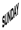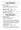# **Baby Puppy Bitch**

**Judge - Mrs J Neddermeyer**

### **GRADING: VERY PROMSING**

**1<sup>st</sup> GRANDWEST VITALIA** 25/05/09 6100062511 **Sire** : \*Enzor v Tamaraspitze a ED SchH3 Hneg (Imp Blg) LOSH 0988561 **Dam :** \*Uscha v Bauhofer-Land a Z ET HT (Imp Gmy) SZ 2120738

**Bdr** : Exh **Exh** : Willis D & Mrs C

- **2<sup>nd</sup> ASTERHUND ILLUSION** 22/07/09 5100055055 **Sire** : \*Ch Uras v Trafalga a Z Hneg (Imp Gmy) SZ 2116134 **Dam :** \*Tonaker Bianca Bell A Z 5100035641 **Bdr** : Exh **Exh** : van Groen CM & Mrs GP
- **3rd DESTINYGEM BAD GIRL GOT CHEEK** 25/06/09 5100055702 **Sire** : \*Aimsway Bacchus A Z 21000199937 **Dam** : Darkknight Jemima A Z CD 5100024190 **Bdr**: Exh **Exh** : Lacey Ms CA

## **Minor Puppy Bitch**

**Judge - Mrs J Neddermeyer**

### **GRADING: VERY PROMISING**

**1st SHEPROSE WHISKY DELIGHT** 08/04/09 5100053763 **Sire** : \*Ch Kuirau Regan A Z 2100246984 Dam : \*Seigen Girl Interuppted A Z 6100052357 **Bdr**: Exh **Exh** : Owen B

Large strong substantial well constructed bitch of very good type. High withers firm back well molded croup that could be set a little less steep. The upper arm is of very good length but could be better angled, very good hindquarter angulation with strong well developed thighs for her age. Stands still correct in front the pasterns could be a little firmer, good chest development the eye could be a little darker, good ear carriage. Steps correct both front and rear. During movement shows very good ground covering gait with good length of stride and very good back transmission.

**2nd DARKKNIGHT YSADORE** 07/03/09 5100053979 **Sire** : \*Ch Kardin Kruger A Z 3100179267 **Dam :** \*Takimbre Our Fame A Z 3100112073 **Bdr** : Darkknight Kennels<br>**Exh** : Mayne B & Phillis J

8 ½ months Double P1 upper left. Well above medium size strong and substantial bitch for her age of overall harmonious construction. Good length of neck with high wither, firm back, slightly short croup. The upper arm while of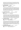good length could be still better angled. Still good hindquarter angulation. Stands correct in front with very good head and expression, good eye colour and good ear carriage. For her age presents a very pleasing picture in stance. Steps correct both front and rear with good firmness of hock joints. During movement shows very good ground covering gait.

**3rd VONRAUTEN QUENA** 25/04/09 5100054458 **Sire** : \*Vonrauten D Arlo A Z 5100045671 **Dam :** Vonrauted Echo 5100046163 **Bdr : Exh : Exh : Vonrauten Kennels** 

6½ months Above medium size medium strong well proportioned bitch of very good colour and pigment. High withers, firm back and slightly short croup. The upper arm should be longer and better angled. The shoulder is placed slightly steep. Stands correct in front with good fore and under chest development, good head with feminine expression, medium eye colour and good eye colour. Steps slightly narrow at rear correct in front. In movement shows very good ground covering gait with good back transmission.

**4th SCHAEFERHUND INDIANA** 30/03/09 3100218166 **Sire** : \*As du Domaine du Val d'Aulnoy HD ED Hneg (Imp Fr) LOF 582753/34822 **Dam :** \*Schaeferhund Celina A Z 3100179923

**Bdr** : Bohdal Mrs I **Exh** : Kinsman S

8 months Well above medium size, medium strong well proportioned bitch of very good type. Good withers, firm back, slightly short croup. The upper arm should be longer and better angled, good hindquarter angulation. Stands correct in front with normal chest development for her age, good head and expression with good eye colour and good ear placement. Steps with hock joints slightly close. Correct in front. In movement shows good ground covering gait where the hindquarter drive and forehand reach should be more expansive.

**5th SIEGERHEIMS NATASHA** 01/04/09 5100054294 **Sire** : \*Mika v Overledingerland a ED (Imp Gmy) SZ 2189240 **Dam :** \*Siegerheims Kayla A Z 5100029642 **Bdr** : Exh **Exh** : Flynn PR & Mrs KY

Well above medium size, well coloured bitch of very good type. High withers firm back with slight restricitions in the length and lay of the croup. The upper arm should be longer and better andgeld, very good hindquarter angulation.Stands correct in front with good head and feminine expression. Slightly errect head carriage. Steps slightly narrow behind correct in front. In movement shows good ground covering gait wher the hindquarter drive and forehand reach should be more expansive. For her age she shouuld be a little more substantial overall.

**6th VONDOUSSA ROGUE TRADERS** 01/04/09 5100053783 **Sire** : \*Vonpeta For The Max A Z 5100045772 **Dam :** \*Ch Vondoussa Faith No More A Z HSAd 5100021878 **Bdr** : Exh **Exh Exh Vondoussa Kennels**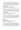7 ½ months Large medium strong well proportioned grey bitch with high withers, firm back and steep croup. The upper arm while of good length could be slightly better angled. The shoulder blade is slightly steep. Very good hindquarter anuglation. Stands correct in front with very good chest proportions, good head medium eye colour, ideally the lower jaw should still be a little stronger. Steps with hock joints slightly close, correct in front. Shows good ground covering gait where both the forehand reach and hindquarter drive should be more expansive.

**7th LEPPSDORF GHISLAINE** 15/05/09 5100054824 **Sire** : \*Ch Lashadas Ace of Hearts A Z 6100048546 **Dam : \*Treyschutz Trick N Treat A Z 5100027755 Bdr :** Hume Miss L **Exh** : Metcalfe T & Mrs K/Hume Miss L

6months Large, strong, substantial well proportioned bitch of very good type. Normal withers, slight roach over the loin and slightly short coup. The upper arm should be longer and better angled. Very good hindquarter angulation. Stands correct in front with normal chest proportions. Strong head with still feminine expression, good ear carriage. Steps with hock joints close, slightly wide in front. During movement both the hindquarter drive and forehand reach should be more expansive.

**9<sup>th</sup> BRUANGIE TATIANA** 14/05/09 5100055015 **Sire** : \*Mika v Overledingerland a ED (Imp Gmy) SZ 2189240 Dam : \*Bruangie Golden Dust A Z 5100036710 **Bdr** : Exh **Exh** : Corlett Mrs V

6 months Just above medium size, medium strong bitch of good proportions, good colour and pigment. Good length of neck, good withers, firm back slightly short croup. The upper arm should be longer and better angled, very good hindquarter angulation. Stands correct in front with normal chest proportions, good head medium eye colour and good ear carriage. Steps slightly narrow at rear and in front has a tendency to lift up front feet. Slightly unruly coat over the back.

### **GRADING: PROMISING**

**9th DARKKNIGHT YUANITA** 07/03/09 5100053980 **Sire** : \*Ch Kardin Kruger A Z 3100179267 **Dam :** \*Takimbre Our Girl Fame A Z 3100112073 **Bdr**: Exh **Exh** : Darkknight Kennels

8½ months. Just above medium size, medium strong bitch of still good type. Good length of neck, good withers, firm back, short and steep croup. The upper arm should be longer and better angled still good hindquarter angulation. Stands correct in front with good head the expression is marred by a slightly light eye. Normal chest proportions. Steps narrow at rear, correct in front with good firmness of hock joints, the elbows should be closer laying. During movement the hindquarter drive and forehand reach should be more expansive.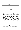## **Puppy Bitch**

### **Judge - Mrs J Neddermeyer**

### **Trophy & Sashes for this class sponsored by Vondoussa Kennels**

### **GRADING; VERY PROMISING**

**1st GRANDWEST ULANA** 01/12/08 6100059069 **Sire** : \*Yke v Haus Charly a ED Hneg (Imp Gmy) SZ 168088 **Dam :** \*Fremont Hot Property A Z 2100135460 **Bdr** : Exh **Exh** : Willis D & Mrs C

11½ months above medium size medium strong well constructed bitch of very harmonious overall anatomical construction. High withers, firm back, well moulded croup which could be longer. Very good fore and hindquarter angulation. Very good fore and under chest development. Stands correct in front with good head and expression which is marred slightly by her eye colour, the ear placement is not exactly ideal. Steps correct at rear with good firmness of hock joints for her age. Correct in front with good firmness of elbows. During movement shows very good ground covering gait with very good length of stride and very good back transmission.

**2nd RHOSYN FANTASIA** 05/12/08 5100052199 **Sire** : \*Vimo vd Hopfenhalle a ED SchH3 Hneg (Imp Gmy) SZ 2158998 **Dam :** \*Rhosyn Totally Hot A Z 5100041144 **Bdr** : Exh **Exh** : Collins SJ & Mrs C

Above medium size strong substantial bitch of very good type. High wither, firm back slight dip behind, while the croup is of good length should be ideally set a little less steep. Good fore and very good hindquarter angulation. Stands correct in front with good head, good eye colour and good ear carriage. Steps slightly narrow at rear correct at front where the elbows are yet to achieve final firmness. During movement shows very good length of stride with very good back transmission. Ideally the lower jaw should be slightly more developed

**3rd RYZACK ALEXA** 19/12/08 3100212649 **Sire** : \*Ch Kwint v Juerikställ a ED Hneg (Imp Ndl) NHSB 2501936 **Dam :** \*Schaeferhund Yenta A Z 3100163162 **Bdr** : Payne J **Exh** : Bohdal Mrs I

Double P1 upper left and right. Large strong substantial very well coloured and well pigmented bitch of very good type. High withers, firm back, well moulded croup which ideally could be a fraction longer. The upper arm should be longer and slightly better angled, very good hindquarter angulation. Stands correct in front with very good head and expression, very good eye colour and very good masking, still good ear carriage, steps slightly wide in front, at rear with hocks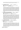close and slightly loose. During movement shows very good ground covering gait with very good length of stride and very good back transmission

**4th BABENBERG FOX TROT** 23/11/08 5100051926 **Sire** : \*Vimo vd Hopfenhalle a ED SchH3 Hneg (Imp Gmy) SZ 2158998 **Dam : \* Craisan Zara A Z 5100025654 Bdr** : Fxh **Exh** : DeLucia J & Mrs J

11½ months. Large strong well proportioned bitch of very good overall construction. High withers, firm back, slightly steep croup. The upper arm should be longer and better angled very good hindquarter angulation. Stands correct in front with good fore and slightly pronounced lower chest development. Even for her age should not become any deeper. Very good head and expression, good eye colour and good eye colour with still good masking. Steps slightly narrow at rear correct in front both the hock and elbow joints are yet to achieve final firmness. During movement shows good ground covering gait where the hind quarter drive should be more powerful. The lower chest should be longer.

**5th ZANDRAC HOLLYWOOD DREAMING** 09/01/09 3100215416 **Sire** : \*Horand dell'Arco Etrusco a ED Hneg (Imp NDL) NHSB 2653494 **Dam :** Hester vd Zomerdijkslanden (Imp Ndl) **Bdr** : Jones A & Mrs R<br>**Exh** : Alimanda Kennels

Above medium size, strong well proportioned bitch of very good type. Good withers firm back, slightly short and slightly steep croup. The upper arm is of good length but should be slightly better angled, very good hindquarter angulation. Stands still correct in front, with normal chest proportions, good head, good expression, which is marred slightly by slightly light eye colour. Ideally the ears could be placed slightly higher on the skull. Steps correct at rear hock joints yet to achieve final firmness, correct in front. During movement shows good ground covering gait where both the hindquarter drive and forehand reach should be more expansive. The lower chest should still be a little longer, at times the wither should be carried slightly higher.

**6th SCHAEFERHUND HANNA** 13/02/09 3100215966 **Sire** : \*As du Domaine du Val d'Aulnoy HD ED Hneg (Imp Fr) LOF

582753/34822

**Dam :** \*Schaeferhund Topeka A Z 3100111207 **Bdr** : Bohdal Mrs I **Exh** : Kinsman S

Large strong well proportioned bitch of still good type. Good withers, slightly dip behind, firm back, slightly short and slightly steep croup. The upper arm should be longer and better angled, good hindquarter angulation. Stands correct in front, the pasterns should be firmer and feet are slightly long and open. Strong head, very good eye colour and good ear carriage. Steps slightly narrow at rear, correct in front. During movement shows good ground covering gait where both the hind drive and fore reach should be freer, and at times her wither should be carried higher

### **GRADING: PROMISING**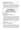**7th BRUANGIE SOMETHING TO FOLLOW** 13/01/09 5100052776 **Sire** : \*Ch Kardin Kruger A Z 3100179267 **Dam :** \*Bruangie Aztec Princess A Z 5100028574  **Bdr :** Corlett Mrs V **Exh** : Alimanda Kennels

Just above medium size, strong, well pigmented bitch of very good proportions. Still good wither, firm back, slightly short and slightly steep croup. The upper arm while of good length could be slightly better angled, slightly deep hind angulation. Stands correct in front, with very strong head, good eye colour, ears are yet to achieve final firmness. Steps correct in front, at rear moves with hocks very close, even for her age they should be firmer. During movement both hindquarter drive and forehand reach should be more expansive

## **Junior Bitch**

**Judge - Mrs J Neddermeyer**

### **Trophy & Sashes for this class sponsored by Candy Smith & Christine Tester**

### **GRADING: VERY GOOD**

**1st JAYSHELL RIPLEY A Z** 30/05/08 3100204013 **Sire** : \*Iturna Noble Knight A Z 3100161650 **Dam :** \*Orrinshir Xcel A Z 3100092728 **Bdr** : McDermott P & N **Exh** : Taylor Mrs SJ

Large strong dry and fim bitch of very good type. Very good length of neck, normal withers firm back, slightly short croup. The upper arm while of good length should be slightly better angled, very good hindquarter angulation. Stands correct in front, with very good fore and lower chest development for age, strong expressive head with very good eye colour and very good ear carriage. Presents a very pleasing picture in stance and is of overall very harmonious construction, steps slightly narrow at rear with firm hocks, correct in front where the elbows should be a little closer laying. During movement shows very good ground covering gait with very good length of stride and powerful hindquarter drive and free forehand reach with very good back transmission

**2nd ICCARA JAVA JOYRIDE** 10/07/09 6100058286 **Sire** : \*Kantenna Hunter A Z 4100130992 **Dam : \*Iccara Eye Candy A Z 6100027576 Bdr** : Exh **Exh** : Woollard LJ & Mrs SL

16 months Above med size medium strong, very expressive bitch of very good color and pigmentation. Very good length of neck, high wither, firm back, very good croup. Very good fore and hindquarter angulation. Stands correct in front the pasterns should be little firmer, normal chest proportions, very good head and expression very good eye colour and very good ear carriage. Steps correct at rear, correct in front with good firmness of joints for her age. During movement shows very good ground covering gait with strong hindquarter drive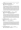and free forehand reach with very good back transmission and very good length of stride

**3rd REGALSHEP CALLME IRRESPONSIBLE** 07/09/08 5100051553 **Sire** : \*Ch Kardin Kruger A Z 3100179267 **Dam : \*Regalshep Princess Fiona A Z 5100030934 Bdr** : Exh **Exh** : Mayne D

Large strong substantial well constructed bitch of very good type. High withers firm back slightly steep croup. The upper arm is of good length but should be slightly better angled, very good hindquarter angulation particularly very good placement of shoulder blade. Stands correct in front with normal chest proportions, strong expressive head, good eye colour and good ear carriage, ideally masking could be slightly more pronounced. Impressives with her overall dryness and firmness. Steps correct at rear with good firmness of joints, correct in front where the elbows could be slightly closer laying. Durng movement shows very good ground covering gait with strong hindquarter drive and free forehand reach, very good back transmission and very good length of stride

**4th VONPETA KOZTIC KOMMENTS** 04/10/08 5100051507 **Sire** : \*Ch Kwint v Juerikställ a ED Hneg (Imp Ndl) NHSB 2501936 **Dam** : \*Gr Ch Vonpeta Taykall by Storm A Z 5100022730 **Bdr** : Exh **Exh** : Damarell PN & Pike JE

Slightly under developed P2 and P3 upper right. A bitch of correct medium size, medium strong, well coloured and well pigmented and of very good type. Good withers firm back, slightly short croup. The upper arm should be longer and better angled, very good hindquarter angulation. Stands correct in front with normal chest porportions, strong but still feminine head, very good eye colour very good masking and very good ear carriage. Steps slightly narrow at rear, correct in front, the elbows and hock joints are yet to achieve final firmness. During movement shows very good ground covering gait with very good length of stride

**5th SAN RANCHO FIZZ WIZZ** 20/10/08 5100051600 **Sire** : \*As du Domaine du Val d'Aulnoy HD ED Hneg (Imp Fr) LOF 582753/34822

**Dam :** \*San Rancho Aurora A Z 5100032840 **Bdr : Exh : Exh : San Rancho Kennels** 

Large medium strong well coloured bitch of very good type. Very good length of neck, high withers, firm back, well moulded croup. The upper arm should be longer and better angled, very good hindquarter angulation. Stands correct in front with very good fore and lower chest development, good head medium eye colour, the ears are little large and should be placed slightly higher on the skull. Steps slightly narrow at rear, correct in front. During movement shows very good ground covering gait with very good length of stride and very good back transmission

**6th RHOSYN DENIM N LACE A Z** 14/09/08 5100050866 **Sire** : \*Vimo vd Hopfenhalle a ED SchH3 Hneg (Imp Gmy) SZ 2158998 **Dam : \*Rhosyn Vital Splash A Z 5100021078**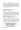Above medium size, strong, substantial bitch of very good type. Good length of neck high wither, firm back in stance, slightly steep croup. The upper arm is of good length should be slightly better angled very good hindquarter angulation. Stands correct in front, ideally the pasterns should be little firmer very good fore and lower chest development. Good head ideally the stop should be slightly more pronounced, good eye colour and good ear carriage. Throws out left hock, steps correct in front with good firmness of elbows. During movement shows good ground covering gait with good length of stride however ligamentation over the back should remain a little firmer

**7th REGALSHEP BAYWATCH BEAUTY** 02/09/08 5100051548 **Sire** : \*Ch Kardin Kruger A Z 3100179267 **Dam : \*Regalshep Kind A Sweet A Z 5100020477 Bdr** : Exh **Exh** : Mayne D

Above medium size, strong well coloured well proportioned bitch of very good type. Good withers, firm back, slightly short croup. The upper arm is of good length but should be slightly better angled, very good hindquarter angulation. Stands correct in front, with good fore and very good lower chest development, strong, expressive head, good ear carriage and good eye colour. Steps slightly narrow at rear, and in front where the elbows should be closer laying. During movement shows good ground covering gait with good length of stride at times the wither should be carried slightly higher during movement

**8th VONPETA KARM BFOR THE STORM** 04/10/08 5100051511 **Sire** : \*Ch Kwint v Juerikställ a ED Hneg (Imp Ndl) NHSB 2501936 **Dam** : \*Gr Ch Vonpeta Taykall by Storm A Z 5100022730 **Bdr** : Fxh **Exh** : Damarell PN & Pike JF

A bitch of correct med size, just medium strong, well coloured bitch of good proportions. Ideally the neck could be a little longer, good withers slight dip behind, firm back sl steep croup. The upper arm should be longer and better angled, slightly deep hind angulation. Stands correct in front with good fore and very good lower chest development, good head very good eye colour and good ear carriage. Steps with hocks very close and loose, slightly wide in front. During movement shows good ground covering with somewhat hasty movement. Even for her size her bones should be stronger overall

## **Intermediate Bitch**

**Judge - Mrs J Neddermeyer**

**Trophy & Sashes for this class sponsored by San Rancho Kennels**

**GRADING: VERY GOOD**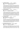**1st VONDOUSSA QUEEN A Z** 13/02/08 5100048412 **Sire** : \*Ch Kwint v Juerikställ a ED Hneg (Imp Ndl) NHSB 2501936 **Dam :** \*Ch Vondoussa Faith No More A Z HSAd 5100021878 **Bdr** : Exh **Exh** : Vondoussa Kennels

An above medium size strong expressive bitch of very good type. High withers, firm back, slightly steep croup. The upper arm while of good length should be slightly better angled very good hindquarter angulation. Stands correct in front with very good fore and lower chest development. Stong expressive head, with very good eye colour and very good ear carriage. Steps slightly narrow at rear correct in front , where both the elbows and the hock joints should be firmer. During movement shows very good ground covering gait, with balanced hindquarter drive and forehand reach.

**2nd RHOSYN BAM BAM A Z** 23/04/08 5100049376 **Sire** : \*Cayos vd Noriswand a ED SchH1 Hneg (Imp Gmy) SZ 2142376 **Dam : \*Rhosyn Chocolate Splash A Z 5100030115 Bdr :** Exh **Exh** : Collins SJ & Mrs C

A large strong substantial bitch of very good type and of harmonious anatomical construction. High withers, firm back and steep croup. The upper arm while of good length could be still better angled very good hindquarter angulation with strong powerful well developed thighs. Stands correct in front with very good fore and lower chest development. Strong expressive head, with very good eye colour and very good ear carriage. Steps slightly narrow at rear with firm hock joints, correct in front with firm elbows. During movement shows a very good ground covering gait with very good length of stride and very good back transmission.

**3rd SPELLBINDA ODETTE** 11/04/08 3100200729 **Sire** : \*Ch Sannjesa Crusty Demon A Z 3100130498 **Dam : \*Lashadas Xquisite A Z 6100044002 Bdr :** Adams A **Exh** : Pilgrim Ms S

Above medium size medium strong well coloured and well pigmented bitch of very good type. Very good length of neck with good withers, firm back, slightly short croup. The upper arm while of good length should be slightly better angled, very good hindquarter angulation. Stands correct in front with very good head, very eye colour and very good ear carraige. Steps correct both front and rear with good firmness of joints. During movement shows good balanced gait with good hindquarter drive and forehand reach.

**4th DELAFORCE JUMP THE FAR Q A Z** 19/11/07 5100047767 **Sire** : \*Ch Kwint v Juerikställ a ED Hneg (Imp Ndl) NHSB 2501936 **Dam:** \*Ch Sagenhaft Moneypenny A Z 5100029804 **Bdr** : Exh **Exh** : Cooke I & Mrs M

A large medium strong well coloured bitch of very good type. Still good length of neck, high withers, firm back, slightly steep croup. The upper arm be longer and better angled, very good hindquarter angulation. Stands correct in front with normal chest proportions. Feminine head, very good eye colour and very good ear carriage. Steps slightly narrow at rear, and in front. During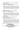movement shows very good ground covering gait with balanced hindquarter drive and forehand reach.

**5th VONPETA GIGSORE PEACE A Z** 03/04/08 5100049231 **Sire** : \*Ch Gigolo v Elzmündungsraum a ED Hneg (Imp Gmy) SZ 2099759 **Dam :** \*Vonpeta Champagne A Z 5100036846 **Bdr** : Exh **Exh** : Damarell PN & Pike JE

A very large medium strong, well coloured bitch of very good type. High withers, firm back, slightly steep croup. The upper arm should be longer and better angled very good hindquarter angulation. Stands correct in front with very good head, very good eye colour very good ear carriage and very good masking. Steps correct both front and rear with very good firmness of hock joints. During movement shows very good back transmission and very good length of stride.

**6th DARKKNIGHT WILD CHERRY** 07/05/08 5100050202 **Sire** : \*Ch Kwint v Juerikställ a ED Hneg (Imp Ndl) NHSB 2501936 **Dam :** \*Darkknight Quesha A Z 5100050202 **Bdr**: Exh **Exh** : Darkknight Kennels

Above medium size medium strong well coloured and proportioned bitch of very good type. High withers firm back slightly short croup. While the upper arm is of very good angle it should be slightly longer, very good hindquarter angulation. Stands correct in front with good head and expression, the eye colour could be a little darker. Steps slightly narrow at rear, correct in front. During movement shows very good ground covering gait with balanced drive and forehand reach.

**7th LEBERHINE FRENZI A Z** 13/03/08 5100048778 **Sire** : \*Cayos vd Noriswand a ED SchH1 Hneg (Imp Gmy) SZ 2142376 **Dam : \*Sagenhaft Dubl O Seven A Z 5100029803 Bdr :** Garvican H, Evans R & Mrs D **Exh** : Garvican H, Evans R & Mrs D/DeLuca B & Maurer Miss H

A large, strong well proportioned bitch of still very good type. Very good length of neck, high withers, firm back, slightly short and slightly steep croup. The upper arm should be longer and better angled, very good hindquarter angulation. Stands correct in front with normal chest proportions, strong head, medium eye colour, and good ear carriage. Steps correct coming and going the elbows should be a little closer laying. During move shows good ground coving gait with balanced hind drive and forehand reach. The ligamentation over the back could remain just a fraction firmer.

## **Open Bitch**

**Judge - Mrs J Neddermeyer**

**Trophy & Sashes for this class sponsored by Tonaker Kennels**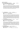### **GRADING; EXCELLENT**

**456 \*CH VONPETA AVENUE TOLDER A Z** 18/09/04 5100033945 **Sire** : \*Uno vd Urbecke a Z Hneg (Imp Gmy) SZ 1948206 Dam : \* Ch Vonpeta Sheeza Mona A Z 5100017939  **Bdr :** Exh **Exh** : Damarell PN & Pike JE

60.5cms Large strong substantial very well constructed bitch of very good type. High withers firm back slightly steep croup. Very good fore and hindquarter angulation. Stands correct in front with balanced chest proportions. Very good head, excellent eye colour and very good ear carriage. She impresses with her overall anatomical contruction and harmony. Steps with hock joints slightly close correct in front. During movement shows very powerful expansive gait with very good back transmission and very good length of stride.

**2nd \*LAGO BIANCA A Z** 27/10/06 5100042834 **Sire** : \*Ch Kwint v Juerikställ a ED Hneg (Imp Ndl) NHSB 2501936 **Dam :** \*Ch Adelora Zena A Z 2100147556 **Bdr** : Exh **Exh** : Pittelli SS & F

59cms. Large strong substantial very well constructed bitch of much type and harmony. Good withers, firm back, well moulded croup which could still be a fraction longer. The upper arm while of good length could be still better angled. Very good hindquarter angulation. Stands correct in front with normal chest development. Strong, feminine expressive head with very good eye colour and very good ear carriage. Steps slightly narrow at rear with firm hock joints, correct in front with good firmness of elbows. During movement shows very good powerful expansive gait with very good length of stride and very good back transmission.

**3rd \*DESTINYGEM MISS ATTITUDE A Z** 29/04/07 5100046167 **Sire** : \*Ch Aimsway Abacus A Z Hneg 2100096239 **Dam : Darkknight Jemima A Z CD 5100024190 Bdr** : Exh **Exh** : Lacey Ms CA

60.5cms. Very large strong substantial bitch of very good type. Normal withers, firm back slightly short and slightly steep croup. The upper arm should be longer and better angled, very good hindquarter angulation. Stands correct in front with normal chest proportions. Strong but still feminine head, dark eye colour and good ear carriage. The masking could be fractionally more pronounced. Steps slightly wide both front and rear. During movement shows very good ground covering gait with very good length of stride and very good back transmission.

4<sup>th</sup> \*CH DARKANA DEMI A Z 28/05/07 5100045589 **Sire :** \*Nilson v Wildsteiger Land a Z Hneg (Imp Gmy) SZ 2062603 **Dam : Darkana Keanu A Z 5100030082 Bdr :** Barlow Mrs JK **Exh :** Garvican H, Evans R & Mrs D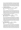61cms. A very large strong substantial bitch of overall very good anatomical construction. High wither, firm back slightly short and steep croup. The upper arm should be longer and better angled, very good hindquarter angulation. Stands correct in front with good fore and very good lower chest development. Strong expressive head with very good eye colour and very good ear carriage. Steps slightly narrow at rear, correct in front where both the elbows and hock joints should be a little firmer. During movement shows a very good ground covering gait with very good length of stride. The ligamentation over the back should remain a fraction firmer.

**5th \*VONDOUSSA PRINCESS NIC A Z** 01/10/07 5100046598 **Sire** : \*Ray v Fichtenschlag a ED SchH3 Hneg (Imp Gmy) SZ 2154538 **Dam :** \*Vondoussa Georgie Girl A Z ET HSAs HSAd 5100029709

**Bdr** : Fxh **Exh** : Vondoussa Kennels

60.5cms. A large, medium strong well proportioned, well coloured bitch of still good type. Good withers, firm back, well moulded croup which could be a fraction longer. The upper arm should be longer and better angled, very good hindquarter angulation. Stands correct in front, with good fore and lower chest development. Still good head, dark eye colour and good ear carriage. Moves with hock joints close, correct in front where elbows should be closer laying. During movement shows good ground covering gait where both forehand reach and hindquarter drive should be a little more expansive

**6th \*RHOSYN WOOD NYMPH A Z** 23/02/07 5100044023 **Sire** : \*Ch Gigolo v Elzmündungsraum a ED Hneg (Imp Gmy) SZ 2099759 Dam : \*Brooksvale Black Russian A Z 5100018805  **Bdr :** Collins SJ & Mrs C **Exh** : Hansen Mrs T

61cms. A very large medium strong, well proportioned bitch of still good type. High withers, firm back, slightly short and slightly steep croup. The upper arm while of good length should be slightly better angled, very good hindquarter angulation. Stands correct in front with slightly upright pasterns. Normal chest proportions, still good head, medium eye colour and good ear carriage. Both the upper and lower jaw should be slightly more developed. Steps correct both front and rear. During movement shows good ground covering gait where both the hindquarter drive and forehand reach should be slightly more expansive. Very good back transmission.

 $7<sup>th</sup>$ **7th \*SAN RANCHO DANTE A Z** 12/08/07 5100046258 **Sire** : \*Ch Kwint v Juerikställ a ED Hneg (Imp Ndl) NHSB 2501936 **Dam :** \*San Rancho Aurora A Z 5100032840 **Bdr** : Exh **Exh** : San Rancho Kennels

60.5cms A very large medium strong well proportioned, still well coloured bitch of very good type. Good length of neck, good withers, firm back, slightly short and slightly steep croup. The upper arm should be longer and better angled, very good hindquarter angulation. Stand correct in front where ideally the pasterns should be firmer. Normal chest proportions, very good head and expression dark eye colour and good ear carriage. Steps slightly narrow at rear and with good firmness of hock joints, correct in front where the elbows should be closer laying. During movement shows good ground covering gait where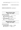both the hindquarter drive and the forehand reach should be a little more expansive. Good back transmission.

### **CHALLENGE BITCH \*CH VONPETA AVENUE TOLDER A Z**

### **RESERVE CHALLENGE BITCH…\*LAGO BIANCA A Z**

## **Baby Puppy Dog**

### **Judge - Herr C Ludwig**

### **GRADING: VERY PROMISING**

- **1st KEEDARA LOVESEXMAGIC** 05/06/09 5100054921 **Sire** : \*Ch Kardin Kruger A Z 3100179267 **Dam :** \*Ch Keedara Deby Duz A Z 5100029825 **Bdr** : Exh **Exh** : Mayne B & Phillis J
- **2nd VONPETA LEBEN UNDRED** 21/07/09 5100055532 **Sire** : \*Ch Kardin Kruger A Z 3100179267 Dam : \* Ch Vonpeta Avenue Tolder A Z 5100033945 **Bdr** : Exh **Exh** : Damarell PN & Pike JE

## **Minor Puppy Dog**

**Judge - Herr C Ludwig**

### **GRADING: VERY PROMISING**

**1st SIEGERHEIMS NANDO** 01/04/09 5100054296 **Sire** : \*Mika v Overledingerland a ED (Imp Gmy) SZ 2189240 **Dam :** \*Siegerheims Kayla A Z 5100029642 **Bdr** : Flynn PR & Mrs KY **Exh** : Hume Miss L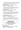71/2 month. Strong. Slightly stretched. Good expression. Normal withers. Straight back. Croup should be longer. Good fore and very good rear angulations correct chest proportions for the age. Correct coming and going. Powerful movement. Good ground covering gait. Already good firmness overall.

**2nd BABENBERG GERONIMO** 06/03/09 5100053326 **Sire** : \*Vimo vd Hopfenhalle a ED SchH3 Hneg (Imp Gmy) SZ 2158998 Dam : \*Babenberg El Estralita A Z 5100042296 **Bdr** : Exh **Exh** : DeLucia J & Mrs J

8 ½ months. 64cm Very large medium strong. Expressive male. Normal withers. Straight back. Short croup. Good angualtions in the rear. The upper arm is steep. Normal chest proportions. Pretty tight in coming and going. Good movement. Falls a little bit on the forehand.

**3rd SIEGERHEIMS NORSCA** 01/04/09 5100054299 **Sire** : \*Mika v Overledingerland a ED (Imp Gmy) SZ 2189240 **Dam : \*Siegerheims Kayla A Z 5100029642 Bdr** : Exh **Exh** : Flynn PR & Mrs KY

7 ½ months. Medium strong. Good proportions. In the future development he must get some more masculinity. Normal withers. Straight back good lay of the croup. Good hind angulations upper arm should be longer and better angled. Pasterns are upright. Correct coming and going. Good moving although gait should be a little bit more spacious.

**4th VONDOUSSA ROBBIE WILLIAMS** 01/04/09 5100053779 **Sire** : \*Vonpeta For The Max A Z 5100045772 **Dam :** \*Ch Vondoussa Faith No More A Z HSAd 5100021878 **Bdr** : Exh **Exh** : Vondoussa Kennels

71/2 months. Tall medium strong. Good top line. With a short croup. Good hind angualtions. Upper arm is long enough. Should be a little better positioned. For the age a good forechest. Under chest is short. Correct in front. The hocks are still loose. Good rear drive short front reach and falling on the forehand.

## **Junior Dog**

**Judge - Herr C Ludwig**

### **Trophy & Sashes for this class sponsored by Tonaker Kennels**

### **GRADING: VERY GOOD**

**1st RHOSYN DOUBLE KROSS A Z** 14/09/08 5100050864 **Sire** : \*Vimo vd Hopfenhalle a ED SchH3 Hneg (Imp Gmy) SZ 2158998 **Dam : \*Rhosyn Vital Splash A Z 5100021078 Bdr :** Exh **Exh** : Collins SJ & Mrs C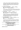14 months. 64cms. Over medium size medium strong. Well formed head with very good expression, however, the eyes could be a little darker. With good substance. Correct proportions. High wither, straight back, very good top and underline. Croup should be a little bit longer. Correct angualtions in the front and rear. Correct coming and going, very fluent ground covering gait. With good firmness overall.

**2nd ARKAHLA SH HITFORB RAINS** 26/09/08 5100051320 **Sire** : \*Vimo vd Hopfenhalle a ED SchH3 Hneg (Imp Gmy) SZ 2158998 **Dam :** \*Arkahla Oil Beef Hooked A Z 5100042927 **Bdr** : Exh **Exh** : O'Loughlin W & Mrs J

14 months. 65cms Tall . strong. Expressive. Good withers straight back. Short croup. Very good rear angulations, upper arm should be longer and better positioned. Correct chest proportions. Correct gaiting in the rear. Stands a little in the front. Good rear drive. Just enough front reach.

**3rd VOLSCAIN UDO** 12/08/08 3100208804 **Sire** : \*Karlos vd Werther-Mühle a ED Hneg (Imp Gmy) SZ 2129480 **Dam :** \*Molle vd Werther-Mühle a ED (Imp Gmy) SZ 2142864  **Bdr :** Volscain Kennels **Exh** : Levron A & J/Kail N & M

15mths, 63cm Above medium size, medium strong, slightly stretched proportions, very good expression and pigmentation, normal withers, straight back, good lay of croup, good forehand angulation and very good hindquarter angulation, steps narrow in rear and slightly wide in front, powerful ground covering gait

**4th SAN RANCHO FERRERO** 20/10/08 5100051602 **Sire** : \*As du Domaine du Val d'Aulnoy HD ED Hneg (Imp Fr)LOF582753/34822 **Dam: \*San Rancho Aurora A Z 5100032840 Bdr :** Exh **Exh** : San Rancho Kennels

12 ½ months. 64cms. Over medium size, medium strong. Good proportions. Should be a little bit more masculine overall. High withers. The croup should be longer. Correct rear angulations. Upper arm should be longer. For the age enough chest development. He is standing and moving wide in front. Good rear drive. Normal front reach.

## **Intermediate Dog**

**Judge - Herr C Ludwig**

**Trophy & Sashes for this class sponsored by Regalshep Kennels**

**GRADING: VERY GOOD**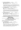**1st SEIGEN JACK SPARROW A Z** 08/10/07 6100053798 **Sire :** \*Ch Eisenland Fernando A Z Hneg 6100023389 **Dam : \*Astasia Nara A Z 4100106224 Bdr**: Gallacher D & Mrs CA **Exh**: Woollard LJ & Mrs SL

2 years one month. 66cm. Large. Strong. Very good expression and type. Pronounced withers. Very good top line. Little bit steep croup. Correct angualtions and chest development. Moves a little narrow in the rear, steps correct in front. Powerful movement. With good front reach.

**2nd \*CH LEBERHINE FLY A Z** 13/03/08 5100048773 **Sire** : \*Cayos vd Noriswand a ED SchH1 Hneg (Imp Gmy) SZ 2142376 **Dam :** \*Sagenhaft Dubl O Seven A Z 5100029803 **Bdr** : Exh **Exh** : Garvican H, Evans R & Mrs D

20 months of age 66cm Large strong male with excellent strong masculine head high withers, straight and firm back good angle of croup which should be longer, correct hind angulation, upper arm should be slightly better angled, correct fore chest correct coming and going, good movement slight kick up behind

**3rd VONRAUTEN FRENCH FIRE** 18/10/07 5100047144 **Sire** : \*As du Domaine du Val d'Aulnoy HD ED Hneg (Imp Fr)LOF582753/34822 **Dam : \*Vonrauten Ginjer A Z 5100034654 Bdr** : Vonrauten Kennels **Exh** : Shepherd Hill Kennels

2 years 1 month. 63cm. Medium size medium strong strong. Stretched male. With masculine head. Normal withers. Not quiet firm back good croup. Good forehand very good rear angualtions. Loose hocks. Moves close in the front. Powerful gait. The back should be firmer.

## **Open Dog Judge - Herr C Ludwig**

### **Trophy & Sashes for this class sponsored by Dreamstar Kennels**

### **GRADING: EXCELLENT**

1<sup>st</sup> \* CH KUIRAU REGAN A Z 11/03/07 2100246984 **Sire** : \*Cayos vd Noriswand a ED SchH1 Hneg (Imp Gmy) SZ 2142376 **Dam :** \*Kuirau Jubilation A Z 2100157384 **Bdr** : Murray PG, Mrs DM & LJ **Exh** : Owen B

2/12 years. 64cm. Tall strong intensively expressive male. With very well shaped head. Very good body proportions. High withers. Correct top and underline. Correct position of the croup. Very good rear angualtions. The long upper arm could be slightly better angled. Correct front and gaitings. Powerful movement very good rear drive good front reach.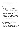### **2nd \*LEPPSDORF LOUI ARMSTRONG A Z** 10/03/07 5100044409 **Sire** : \*Cayos vd Noriswand a ED SchH1 Hneg (Imp Gmy) SZ 2142376 **Dam : \*Treyschutz Trick N Treat A Z 5100027755 Bdr** : Hume Miss L **Exh** : Armstrong B

2 years 8 month 65.5 cm Big strong masculine correct proportions. Correct angulations. Good top and bottom line. Correct coming and going. Powerfull movement very good rear drive and front reach. Good excellent presentation.

### **3rd \*ENZOR V TAMARASPITZE a ED SchH3 Hneg (Imp Blg)**

 19/11/05 LOSH 0988561 **Sire** : \*Nando v Gollerweiher a ED SchH3 SZ 2123269 **Dam :** \*Caty v Tamasaspitze a ED SchH3 LOSH 0923002 **Bdr** : van Sweevelt A **Exh** : Willis D & Mrs C

4 years - 66 cms. Large powerfull strong male. Very good expression and masculine head. Slightly stretched. Very good top and bottom line. Very good anglations. Correct croup. Correct coming and going. Very good powerful movment. Good gait and front reach.

### **4th \*VIMO vd HOPFENHALLE a ED SchH3 Hneg (Imp Gmy)**

01/01/05 SZ 2158998 **Sire** : \*Zeppo v Klebinger Schloss a ED SchH2 SZ 2020853 **Dam :** \*Chandra v Arline a ED SchH3 SZ 2086532  **Bdr :** Zimmermann M **Exh** : DeLucia J & Mrs J, Collins SJ & Mrs C

4 years 10 months. 66 cms. Large. Strong. Powerful male. Somewhat deep. Good withers straight back. The croup should be longer and is a little steep. Very good rear angualations. The long upper arm could a little better angled. Pronounced chest proportions. Correct coming and going. Very powerfull movement with very good drive and good front reach.

### **5th \*FREMONT TOO HOT TO HANDLE A Z** 24/12/06 2100243145 **Sire** : \*Ch Nujaclyn Latin Dancer A Z 410082174 **Dam :** \*Fremont Quest To Win A Z 2100197218 **Bdr** : Exh **Exh** : Lynch S, Mrs L & Miss J

2 years 11 months. 64 cms. Tall medium strong. Very expressive and well pigmented male. Strong head. Pronounced withers. Very good top and under line. Croup should be a little bit longer. Good anglations in the front very good in the rear. Moves narrow in front and rear. Very powerful far reaching movement.

### **6th \*BABANGA DEJAVUE A Z** 12/09/07 2100258697 **Sire** : \*As du Domaine du Val d'Aulnoy HD ED Hneg (Imp Fr)LOF582753/34822 **Dam: \*Rufstone Cher A Z 2100214364 Bdr :** York PR & Mrs KP **Exh** : Parkinson MA & Mrs RJ

2 years 2 months 66 cm Large strong male powerful masculine head slightly stretched proportions, withers should be more pronounced straight back good underline very good rear angulation upper arm should be longer and better positioned. Little close coming and going. Powerful movement front reach should be more effective.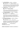**7th \*VOLSCAIN QANTO A Z** 15/02/07 3100181519 **Sire** : \*Karlos vd Werther-Mühle a ED Hneg (Imp Gmy) SZ 2129480 **Dam :** \*Molle vd Werther-Mühle a ED (Imp Gmy) SZ 2142864  **Bdr :** Volscain Kennels **Exh** : Rice J & Mrs M/Cooke I & Mrs M

2 years 9 months. 65.5 cm. Tall medium strong good expression. Slightly stretched . Withers should be more pronounced. Straight back. Well positoned croup should be somewhat longer. Very good angualtions of the rear. Upper arm is a little steep. Correct chest development. Correct coming and going. Powerfull rear drive. Front reach should be a little bit better.

**8th \*KUNAMA I SPY A Z** 20/08/06 5100041709 **Sire** : \*Leberhine Ijaz A Z Hneg 5100014919 **Dam: \*Aldahoven High Fidelity A Z 5100023615 Bdr** : Exh **Exh** : Kunama Kennels

3 years 3 months 63 cm Very expressive male of correct size and correct strength. Correct body proprotions good topline correct position of the croup correct angulations of the rear upper arm should be longer and better postiioned. Correct going elbows are not quite firm very good movement.

**9<sup>th</sup> \*CH TAURORN NAVARRE A Z** 17/05/07 5100045062 **Sire** : \*Ch Gigolo v Elzmündungsraum a ED Hneg (Imp Gmy) SZ 2099759 **Dam :** \*Taurorn Krystal Shimmer A Z 5100021849 **Bdr** : Wellman Ms G **Exh** : Pilgrim Ms S

2 yrs 6 months. 65 cm. Tall, medium strong. Very good pigmentation with dark mask. Withers should be a little bit more pronounced straight back. Croup should be longer. Good angulations in the front and rear. Good forechest development a little short underchest. Correct front. Correct coming and going. Good movement. Which could be a little more powerfull in the gaiting.

**10<sup>th</sup> \*SAN RANCHO CENTURIAN A Z** 22/08/06 5100041822 **Sire** : \*Ch Gigolo v Elzmündungsraum a ED Hneg (Imp Gmy) SZ 2099759 **Dam :** \*Winbirra Ritzy A Z 3100083473 **Bdr :** San Rancho Kennels<br> **Exh** : Cabot Ms EL

3 years 3 months. 64cm . Tall medium strong. Expressive male. Good head. Normal withers. With a little nick behind. Straight back not completely firm. Slightly steep croup. Very good read angualtion. Upper arm is steep and should be longer. Correct chest proportions. Correct coming and going. Powerfull drive. Enough front reach. Should be firmer in the back.

**……………………** 

**CHALLENGE DOG \*CH KUIRAU REGAN A Z** 

**(Roy Brabham Memorial Trophy)**

**RESERVE CHALLENGE DOG \*LEPPSDORF LOUI ARMSTRONG A Z**